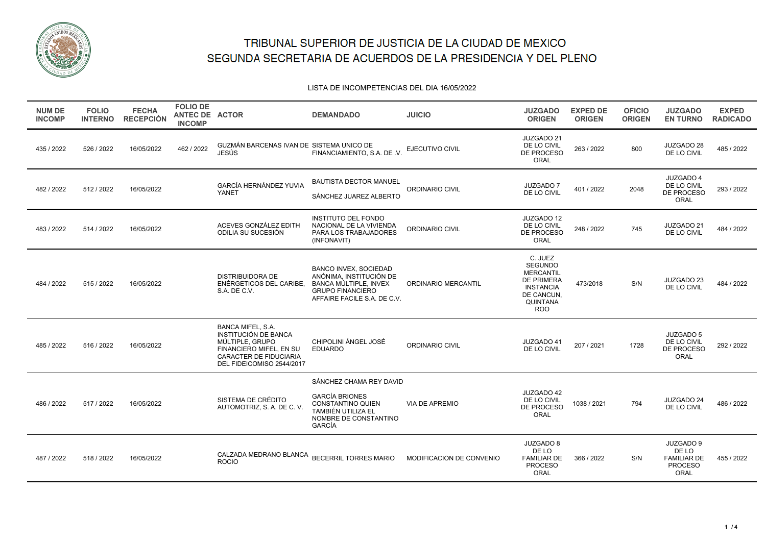

#### LISTA DE INCOMPETENCIAS DEL DIA 16/05/2022

| <b>NUM DE</b><br><b>INCOMP</b> | <b>FOLIO</b><br><b>INTERNO</b> | <b>FECHA</b><br><b>RECEPCIÓN</b> | <b>FOLIO DE</b><br>ANTEC DE ACTOR<br><b>INCOMP</b> |                                                                                                                                                              | <b>DEMANDADO</b>                                                                                                                           | <b>JUICIO</b>            | <b>JUZGADO</b><br><b>ORIGEN</b>                                                                                                | <b>EXPED DE</b><br><b>ORIGEN</b> | <b>OFICIO</b><br><b>ORIGEN</b> | <b>JUZGADO</b><br><b>EN TURNO</b>                                  | <b>EXPED</b><br><b>RADICADO</b> |
|--------------------------------|--------------------------------|----------------------------------|----------------------------------------------------|--------------------------------------------------------------------------------------------------------------------------------------------------------------|--------------------------------------------------------------------------------------------------------------------------------------------|--------------------------|--------------------------------------------------------------------------------------------------------------------------------|----------------------------------|--------------------------------|--------------------------------------------------------------------|---------------------------------|
| 435 / 2022                     | 526 / 2022                     | 16/05/2022                       | 462 / 2022                                         | GUZMÁN BARCENAS IVAN DE SISTEMA UNICO DE<br><b>JESÚS</b>                                                                                                     | FINANCIAMIENTO, S.A. DE .V.                                                                                                                | EJECUTIVO CIVIL          | JUZGADO 21<br>DE LO CIVIL<br>DE PROCESO<br>ORAL                                                                                | 263 / 2022                       | 800                            | JUZGADO 28<br>DE LO CIVIL                                          | 485 / 2022                      |
| 482 / 2022                     | 512/2022                       | 16/05/2022                       |                                                    | <b>GARCÍA HERNÁNDEZ YUVIA</b><br>YANET                                                                                                                       | <b>BAUTISTA DECTOR MANUEL</b><br>SÁNCHEZ JUAREZ ALBERTO                                                                                    | ORDINARIO CIVIL          | <b>JUZGADO 7</b><br>DE LO CIVIL                                                                                                | 401 / 2022                       | 2048                           | JUZGADO 4<br>DE LO CIVIL<br>DE PROCESO<br>ORAL                     | 293 / 2022                      |
| 483 / 2022                     | 514 / 2022                     | 16/05/2022                       |                                                    | ACEVES GONZÁLEZ EDITH<br>ODILIA SU SUCESIÓN                                                                                                                  | <b>INSTITUTO DEL FONDO</b><br>NACIONAL DE LA VIVIENDA<br>PARA LOS TRABAJADORES<br>(INFONAVIT)                                              | ORDINARIO CIVIL          | JUZGADO 12<br>DE LO CIVIL<br>DE PROCESO<br>ORAL                                                                                | 248 / 2022                       | 745                            | JUZGADO 21<br>DE LO CIVIL                                          | 484 / 2022                      |
| 484 / 2022                     | 515 / 2022                     | 16/05/2022                       |                                                    | DISTRIBUIDORA DE<br>ENÉRGETICOS DEL CARIBE.<br>S.A. DE C.V.                                                                                                  | <b>BANCO INVEX, SOCIEDAD</b><br>ANÓNIMA, INSTITUCIÓN DE<br>BANCA MÚLTIPLE, INVEX<br><b>GRUPO FINANCIERO</b><br>AFFAIRE FACILE S.A. DE C.V. | ORDINARIO MERCANTIL      | C. JUEZ<br><b>SEGUNDO</b><br><b>MERCANTIL</b><br><b>DE PRIMERA</b><br><b>INSTANCIA</b><br>DE CANCUN,<br>QUINTANA<br><b>ROO</b> | 473/2018                         | S/N                            | JUZGADO 23<br>DE LO CIVIL                                          | 484 / 2022                      |
| 485 / 2022                     | 516 / 2022                     | 16/05/2022                       |                                                    | <b>BANCA MIFEL, S.A.</b><br>INSTITUCIÓN DE BANCA<br>MÚLTIPLE, GRUPO<br>FINANCIERO MIFEL, EN SU<br><b>CARACTER DE FIDUCIARIA</b><br>DEL FIDEICOMISO 2544/2017 | CHIPOLINI ÁNGEL JOSÉ<br><b>EDUARDO</b>                                                                                                     | ORDINARIO CIVIL          | JUZGADO 41<br>DE LO CIVIL                                                                                                      | 207 / 2021                       | 1728                           | JUZGADO 5<br>DE LO CIVIL<br>DE PROCESO<br>ORAL                     | 292 / 2022                      |
| 486 / 2022                     | 517 / 2022                     | 16/05/2022                       |                                                    | SISTEMA DE CRÉDITO<br>AUTOMOTRIZ, S. A. DE C. V.                                                                                                             | SÁNCHEZ CHAMA REY DAVID<br><b>GARCÍA BRIONES</b><br>CONSTANTINO QUIEN<br>TAMBIÉN UTILIZA EL<br>NOMBRE DE CONSTANTINO<br>GARCÍA             | <b>VIA DE APREMIO</b>    | JUZGADO 42<br>DE LO CIVIL<br>DE PROCESO<br>ORAL                                                                                | 1038 / 2021                      | 794                            | JUZGADO 24<br>DE LO CIVIL                                          | 486 / 2022                      |
| 487 / 2022                     | 518 / 2022                     | 16/05/2022                       |                                                    | CALZADA MEDRANO BLANCA<br><b>ROCIO</b>                                                                                                                       | <b>BECERRIL TORRES MARIO</b>                                                                                                               | MODIFICACION DE CONVENIO | JUZGADO 8<br>DE LO<br><b>FAMILIAR DE</b><br><b>PROCESO</b><br>ORAL                                                             | 366 / 2022                       | S/N                            | JUZGADO 9<br>DE LO<br><b>FAMILIAR DE</b><br><b>PROCESO</b><br>ORAL | 455 / 2022                      |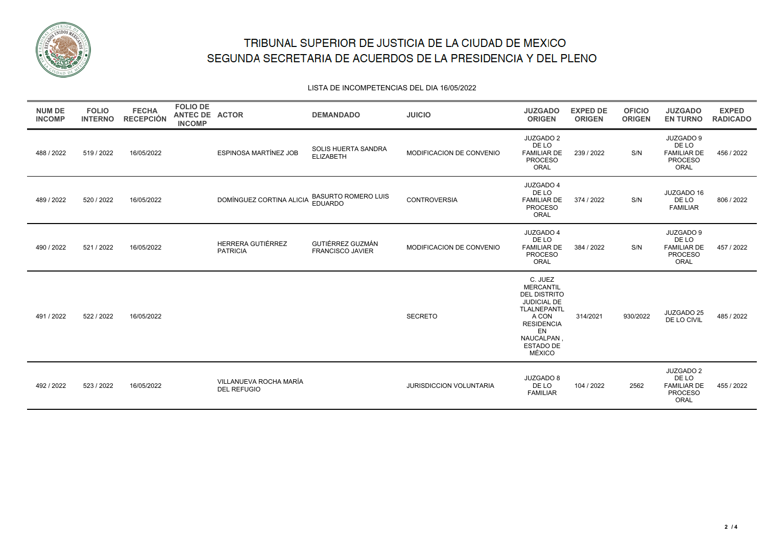

#### LISTA DE INCOMPETENCIAS DEL DIA 16/05/2022

| <b>NUM DE</b><br><b>INCOMP</b> | <b>FOLIO</b><br><b>INTERNO</b> | <b>FECHA</b><br><b>RECEPCIÓN</b> | <b>FOLIO DE</b><br>ANTEC DE ACTOR<br><b>INCOMP</b> |                                              | <b>DEMANDADO</b>                             | <b>JUICIO</b>                  | <b>JUZGADO</b><br><b>ORIGEN</b>                                                                                                                                        | <b>EXPED DE</b><br><b>ORIGEN</b> | <b>OFICIO</b><br><b>ORIGEN</b> | <b>JUZGADO</b><br><b>EN TURNO</b>                                  | <b>EXPED</b><br><b>RADICADO</b> |
|--------------------------------|--------------------------------|----------------------------------|----------------------------------------------------|----------------------------------------------|----------------------------------------------|--------------------------------|------------------------------------------------------------------------------------------------------------------------------------------------------------------------|----------------------------------|--------------------------------|--------------------------------------------------------------------|---------------------------------|
| 488 / 2022                     | 519 / 2022                     | 16/05/2022                       |                                                    | ESPINOSA MARTÍNEZ JOB                        | SOLIS HUERTA SANDRA<br><b>ELIZABETH</b>      | MODIFICACION DE CONVENIO       | JUZGADO 2<br>DE LO<br><b>FAMILIAR DE</b><br><b>PROCESO</b><br>ORAL                                                                                                     | 239 / 2022                       | S/N                            | JUZGADO 9<br>DE LO<br><b>FAMILIAR DE</b><br><b>PROCESO</b><br>ORAL | 456 / 2022                      |
| 489 / 2022                     | 520 / 2022                     | 16/05/2022                       |                                                    | DOMÍNGUEZ CORTINA ALICIA                     | <b>BASURTO ROMERO LUIS</b><br><b>EDUARDO</b> | <b>CONTROVERSIA</b>            | JUZGADO 4<br>DE LO<br><b>FAMILIAR DE</b><br><b>PROCESO</b><br>ORAL                                                                                                     | 374 / 2022                       | S/N                            | JUZGADO 16<br>DE LO<br><b>FAMILIAR</b>                             | 806 / 2022                      |
| 490 / 2022                     | 521 / 2022                     | 16/05/2022                       |                                                    | HERRERA GUTIÉRREZ<br><b>PATRICIA</b>         | GUTIÉRREZ GUZMÁN<br><b>FRANCISCO JAVIER</b>  | MODIFICACION DE CONVENIO       | JUZGADO 4<br>DE LO<br><b>FAMILIAR DE</b><br><b>PROCESO</b><br>ORAL                                                                                                     | 384 / 2022                       | S/N                            | JUZGADO 9<br>DE LO<br><b>FAMILIAR DE</b><br><b>PROCESO</b><br>ORAL | 457 / 2022                      |
| 491/2022                       | 522 / 2022                     | 16/05/2022                       |                                                    |                                              |                                              | <b>SECRETO</b>                 | C. JUEZ<br><b>MERCANTIL</b><br><b>DEL DISTRITO</b><br><b>JUDICIAL DE</b><br><b>TLALNEPANTL</b><br>A CON<br><b>RESIDENCIA</b><br>EN<br>NAUCALPAN<br>ESTADO DE<br>MÉXICO | 314/2021                         | 930/2022                       | JUZGADO 25<br>DE LO CIVIL                                          | 485 / 2022                      |
| 492 / 2022                     | 523 / 2022                     | 16/05/2022                       |                                                    | VILLANUEVA ROCHA MARÍA<br><b>DEL REFUGIO</b> |                                              | <b>JURISDICCION VOLUNTARIA</b> | JUZGADO 8<br>DE LO<br><b>FAMILIAR</b>                                                                                                                                  | 104 / 2022                       | 2562                           | JUZGADO 2<br>DE LO<br><b>FAMILIAR DE</b><br><b>PROCESO</b><br>ORAL | 455 / 2022                      |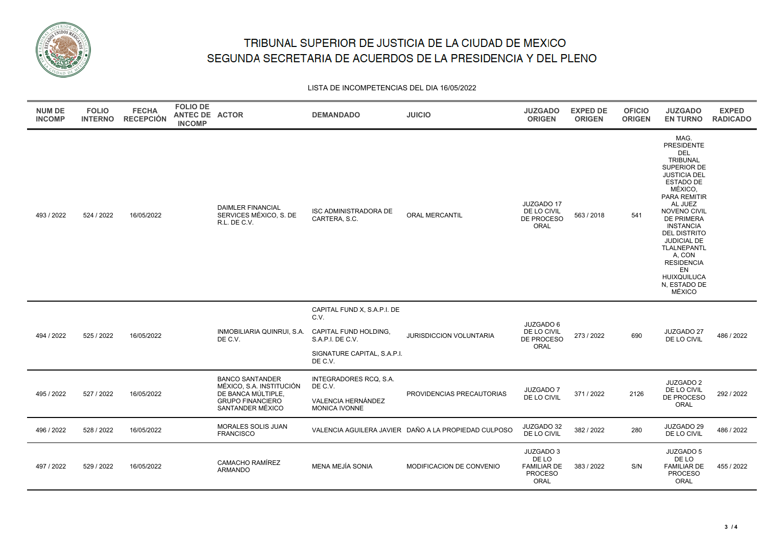

LISTA DE INCOMPETENCIAS DEL DIA 16/05/2022

| <b>NUM DE</b><br><b>INCOMP</b> | <b>FOLIO</b><br><b>INTERNO</b> | <b>FECHA</b><br><b>RECEPCIÓN</b> | <b>FOLIO DE</b><br>ANTEC DE ACTOR<br><b>INCOMP</b> |                                                                                                                         | <b>DEMANDADO</b>                                                                                                           | <b>JUICIO</b>                                        | <b>JUZGADO</b><br><b>ORIGEN</b>                                    | <b>EXPED DE</b><br><b>ORIGEN</b> | <b>OFICIO</b><br><b>ORIGEN</b> | <b>JUZGADO</b><br><b>EN TURNO</b>                                                                                                                                                                                                                                                                                                                             | <b>EXPED</b><br><b>RADICADO</b> |
|--------------------------------|--------------------------------|----------------------------------|----------------------------------------------------|-------------------------------------------------------------------------------------------------------------------------|----------------------------------------------------------------------------------------------------------------------------|------------------------------------------------------|--------------------------------------------------------------------|----------------------------------|--------------------------------|---------------------------------------------------------------------------------------------------------------------------------------------------------------------------------------------------------------------------------------------------------------------------------------------------------------------------------------------------------------|---------------------------------|
| 493 / 2022                     | 524 / 2022                     | 16/05/2022                       |                                                    | <b>DAIMLER FINANCIAL</b><br>SERVICES MÉXICO, S. DE<br>R.L. DE C.V.                                                      | <b>ISC ADMINISTRADORA DE</b><br>CARTERA, S.C.                                                                              | <b>ORAL MERCANTIL</b>                                | JUZGADO 17<br>DE LO CIVIL<br>DE PROCESO<br>ORAL                    | 563 / 2018                       | 541                            | MAG.<br><b>PRESIDENTE</b><br><b>DEL</b><br><b>TRIBUNAL</b><br>SUPERIOR DE<br><b>JUSTICIA DEL</b><br><b>ESTADO DE</b><br>MÉXICO,<br><b>PARA REMITIR</b><br>AL JUEZ<br>NOVENO CIVIL<br>DE PRIMERA<br><b>INSTANCIA</b><br><b>DEL DISTRITO</b><br>JUDICIAL DE<br><b>TLALNEPANTL</b><br>A, CON<br><b>RESIDENCIA</b><br>EN<br>HUIXQUILUCA<br>N, ESTADO DE<br>MÉXICO |                                 |
| 494 / 2022                     | 525 / 2022                     | 16/05/2022                       |                                                    | INMOBILIARIA QUINRUI, S.A.<br>DE C.V.                                                                                   | CAPITAL FUND X, S.A.P.I. DE<br>C.V.<br>CAPITAL FUND HOLDING,<br>S.A.P.I. DE C.V.<br>SIGNATURE CAPITAL, S.A.P.I.<br>DE C.V. | <b>JURISDICCION VOLUNTARIA</b>                       | JUZGADO 6<br>DE LO CIVIL<br>DE PROCESO<br><b>ORAL</b>              | 273 / 2022                       | 690                            | JUZGADO 27<br>DE LO CIVIL                                                                                                                                                                                                                                                                                                                                     | 486 / 2022                      |
| 495 / 2022                     | 527 / 2022                     | 16/05/2022                       |                                                    | <b>BANCO SANTANDER</b><br>MÉXICO, S.A. INSTITUCIÓN<br>DE BANCA MÚLTIPLE,<br><b>GRUPO FINANCIERO</b><br>SANTANDER MÉXICO | INTEGRADORES RCQ, S.A.<br>DE C.V.<br>VALENCIA HERNÁNDEZ<br><b>MONICA IVONNE</b>                                            | PROVIDENCIAS PRECAUTORIAS                            | <b>JUZGADO 7</b><br>DE LO CIVIL                                    | 371 / 2022                       | 2126                           | JUZGADO 2<br>DE LO CIVIL<br>DE PROCESO<br>ORAL                                                                                                                                                                                                                                                                                                                | 292 / 2022                      |
| 496 / 2022                     | 528 / 2022                     | 16/05/2022                       |                                                    | MORALES SOLIS JUAN<br><b>FRANCISCO</b>                                                                                  |                                                                                                                            | VALENCIA AGUILERA JAVIER DAÑO A LA PROPIEDAD CULPOSO | JUZGADO 32<br>DE LO CIVIL                                          | 382 / 2022                       | 280                            | JUZGADO 29<br>DE LO CIVIL                                                                                                                                                                                                                                                                                                                                     | 486 / 2022                      |
| 497 / 2022                     | 529 / 2022                     | 16/05/2022                       |                                                    | CAMACHO RAMÍREZ<br><b>ARMANDO</b>                                                                                       | <b>MENA MEJÍA SONIA</b>                                                                                                    | MODIFICACION DE CONVENIO                             | JUZGADO 3<br>DE LO<br><b>FAMILIAR DE</b><br><b>PROCESO</b><br>ORAL | 383 / 2022                       | S/N                            | JUZGADO 5<br>DE LO<br><b>FAMILIAR DE</b><br><b>PROCESO</b><br>ORAL                                                                                                                                                                                                                                                                                            | 455 / 2022                      |